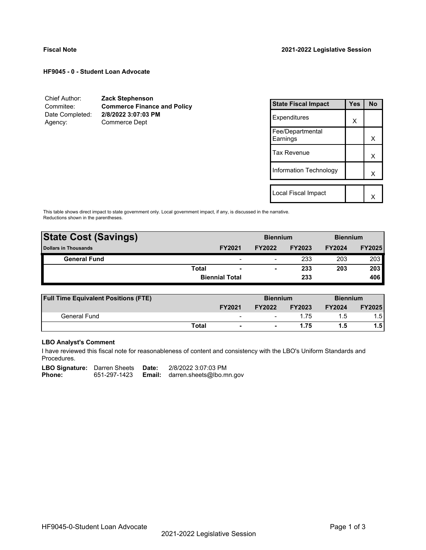**HF9045 - 0 - Student Loan Advocate**

| Chief Author:   | <b>Zack Stephenson</b>             |
|-----------------|------------------------------------|
| Commitee:       | <b>Commerce Finance and Policy</b> |
| Date Completed: | 2/8/2022 3:07:03 PM                |
| Agency:         | Commerce Dept                      |

| <b>State Fiscal Impact</b>   | Yes | <b>No</b> |
|------------------------------|-----|-----------|
| Expenditures                 | x   |           |
| Fee/Departmental<br>Earnings |     | x         |
| <b>Tax Revenue</b>           |     | X         |
| Information Technology       |     | x         |
|                              |     |           |
| Local Fiscal Impact          |     |           |

This table shows direct impact to state government only. Local government impact, if any, is discussed in the narrative. Reductions shown in the parentheses.

| <b>State Cost (Savings)</b> | <b>Biennium</b> |                          |               | <b>Biennium</b> |               |               |
|-----------------------------|-----------------|--------------------------|---------------|-----------------|---------------|---------------|
| <b>Dollars in Thousands</b> |                 | <b>FY2021</b>            | <b>FY2022</b> | <b>FY2023</b>   | <b>FY2024</b> | <b>FY2025</b> |
| <b>General Fund</b>         |                 | $\overline{\phantom{0}}$ | -             | 233             | 203           | 203           |
|                             | <b>Total</b>    | $\overline{\phantom{a}}$ | -             | 233             | 203           | 203           |
|                             |                 | <b>Biennial Total</b>    |               | 233             |               | 406           |
|                             |                 |                          |               |                 |               |               |

| <b>Full Time Equivalent Positions (FTE)</b> |              |                          | <b>Biennium</b> |               | <b>Biennium</b> |               |
|---------------------------------------------|--------------|--------------------------|-----------------|---------------|-----------------|---------------|
|                                             |              | <b>FY2021</b>            | <b>FY2022</b>   | <b>FY2023</b> | <b>FY2024</b>   | <b>FY2025</b> |
| General Fund                                |              | $\overline{\phantom{0}}$ | -               | 1.75          | 1.5             | 1.51          |
|                                             | <b>Total</b> | $\blacksquare$           |                 | 1.75          | 1.5             | 1.5 l         |

# **LBO Analyst's Comment**

I have reviewed this fiscal note for reasonableness of content and consistency with the LBO's Uniform Standards and Procedures.

LBO Signature: Darren Sheets Date: 2/8/2022 3:07:03 PM<br>Phone: 651-297-1423 **Email:** darren.sheets@lbo.m 651-297-1423 **Email:** darren.sheets@lbo.mn.gov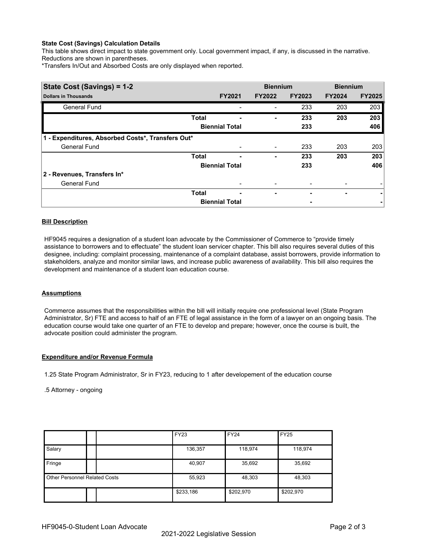### **State Cost (Savings) Calculation Details**

This table shows direct impact to state government only. Local government impact, if any, is discussed in the narrative. Reductions are shown in parentheses.

\*Transfers In/Out and Absorbed Costs are only displayed when reported.

| State Cost (Savings) = 1-2                        |              |                       | <b>Biennium</b> |               | <b>Biennium</b> |               |
|---------------------------------------------------|--------------|-----------------------|-----------------|---------------|-----------------|---------------|
| <b>Dollars in Thousands</b>                       |              | <b>FY2021</b>         | <b>FY2022</b>   | <b>FY2023</b> | <b>FY2024</b>   | <b>FY2025</b> |
| <b>General Fund</b>                               |              |                       |                 | 233           | 203             | 203           |
|                                                   | <b>Total</b> |                       |                 | 233           | 203             | 203           |
|                                                   |              | <b>Biennial Total</b> |                 | 233           |                 | 406           |
| 1 - Expenditures, Absorbed Costs*, Transfers Out* |              |                       |                 |               |                 |               |
| <b>General Fund</b>                               |              |                       |                 | 233           | 203             | 203           |
|                                                   | <b>Total</b> |                       |                 | 233           | 203             | 203           |
|                                                   |              | <b>Biennial Total</b> |                 | 233           |                 | 406           |
| 2 - Revenues, Transfers In*                       |              |                       |                 |               |                 |               |
| <b>General Fund</b>                               |              |                       |                 |               |                 |               |
|                                                   | <b>Total</b> | ۰                     | ٠               |               | ۰               | ۰             |
|                                                   |              | <b>Biennial Total</b> |                 |               |                 |               |

## **Bill Description**

HF9045 requires a designation of a student loan advocate by the Commissioner of Commerce to "provide timely assistance to borrowers and to effectuate" the student loan servicer chapter. This bill also requires several duties of this designee, including: complaint processing, maintenance of a complaint database, assist borrowers, provide information to stakeholders, analyze and monitor similar laws, and increase public awareness of availability. This bill also requires the development and maintenance of a student loan education course.

#### **Assumptions**

Commerce assumes that the responsibilities within the bill will initially require one professional level (State Program Administrator, Sr) FTE and access to half of an FTE of legal assistance in the form of a lawyer on an ongoing basis. The education course would take one quarter of an FTE to develop and prepare; however, once the course is built, the advocate position could administer the program.

#### **Expenditure and/or Revenue Formula**

1.25 State Program Administrator, Sr in FY23, reducing to 1 after developement of the education course

#### .5 Attorney - ongoing

|                                      |  | <b>FY23</b> | <b>FY24</b> | <b>FY25</b> |
|--------------------------------------|--|-------------|-------------|-------------|
| Salary                               |  | 136,357     | 118,974     | 118,974     |
| Fringe                               |  | 40,907      | 35,692      | 35,692      |
| <b>Other Personnel Related Costs</b> |  | 55,923      | 48,303      | 48,303      |
|                                      |  | \$233,186   | \$202,970   | \$202,970   |